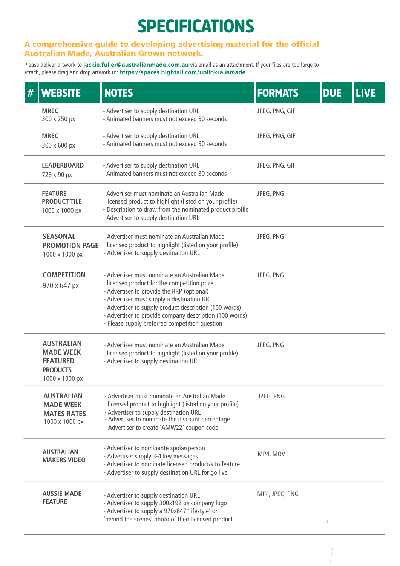## SPECIFICATIONS

## A comprehensive guide to developing advertising material for the official Australian Made, Australian Grown network.

Please deliver artwork to **jackie.fuller@australianmade.com.au** via email as an attachment. If your files are too large to attach, please drag and drop artwork to: **https://spaces.hightail.com/uplink/ausmade**.

| <b>WEBSITE</b>                                                                                | <b>NOTES</b>                                                                                                                                                                                                                                                                                                                                                   | <b>FORMATS</b> | <b>DUE</b> | <b>LIVE</b> |
|-----------------------------------------------------------------------------------------------|----------------------------------------------------------------------------------------------------------------------------------------------------------------------------------------------------------------------------------------------------------------------------------------------------------------------------------------------------------------|----------------|------------|-------------|
| <b>MREC</b><br>300 x 250 px                                                                   | - Advertiser to supply destination URL<br>- Animated banners must not exceed 30 seconds                                                                                                                                                                                                                                                                        | JPEG, PNG, GIF |            |             |
| <b>MREC</b><br>300 x 600 px                                                                   | - Advertiser to supply destination URL<br>- Animated banners must not exceed 30 seconds                                                                                                                                                                                                                                                                        | JPEG, PNG, GIF |            |             |
| <b>LEADERBOARD</b><br>728 x 90 px                                                             | - Advertiser to supply destination URL<br>- Animated banners must not exceed 30 seconds                                                                                                                                                                                                                                                                        | JPEG, PNG, GIF |            |             |
| <b>FEATURE</b><br><b>PRODUCT TILE</b><br>1000 x 1000 px                                       | - Advertiser must nominate an Australian Made<br>licensed product to highlight (listed on your profile)<br>- Description to draw from the nominated product profile<br>- Advertiser to supply destination URL                                                                                                                                                  | JPEG, PNG      |            |             |
| <b>SEASONAL</b><br><b>PROMOTION PAGE</b><br>1000 x 1000 px                                    | - Advertiser must nominate an Australian Made<br>licensed product to highlight (listed on your profile)<br>- Advertiser to supply destination URL                                                                                                                                                                                                              | JPEG, PNG      |            |             |
| <b>COMPETITION</b><br>970 x 647 px                                                            | - Advertiser must nominate an Australian Made<br>licensed product for the competition prize<br>- Advertiser to provide the RRP (optional)<br>- Advertiser must supply a destination URL<br>- Advertiser to supply product description (100 words)<br>- Advertiser to provide company description (100 words)<br>- Please supply preferred competition question | JPEG, PNG      |            |             |
| <b>AUSTRALIAN</b><br><b>MADE WEEK</b><br><b>FEATURED</b><br><b>PRODUCTS</b><br>1000 x 1000 px | - Advertiser must nominate an Australian Made<br>licensed product to highlight (listed on your profile)<br>- Advertiser to supply destination URL                                                                                                                                                                                                              | JPEG, PNG      |            |             |
| <b>AUSTRALIAN</b><br><b>MADE WEEK</b><br><b>MATES RATES</b><br>1000 x 1000 px                 | - Advertiser must nominate an Australian Made<br>licensed product to highlight (listed on your profile)<br>- Advertiser to supply destination URL<br>- Advertiser to nominate the discount percentage<br>- Advertiser to create 'AMW22' coupon code                                                                                                            | JPEG, PNG      |            |             |
| <b>AUSTRALIAN</b><br><b>MAKERS VIDEO</b>                                                      | - Advertiser to nominante spokesperson<br>- Advertiser supply 3-4 key messages<br>- Advertiser to nominate licensed product/s to feature<br>- Advertiser to supply destination URL for go live                                                                                                                                                                 | MP4, MOV       |            |             |
| <b>AUSSIE MADE</b><br><b>FEATURE</b>                                                          | - Advertiser to supply destination URL<br>- Advertiser to supply 300x192 px company logo<br>- Advertiser to supply a 970x647 'lifestyle' or<br>'behind the scenes' photo of their licensed product                                                                                                                                                             | MP4, JPEG, PNG |            |             |